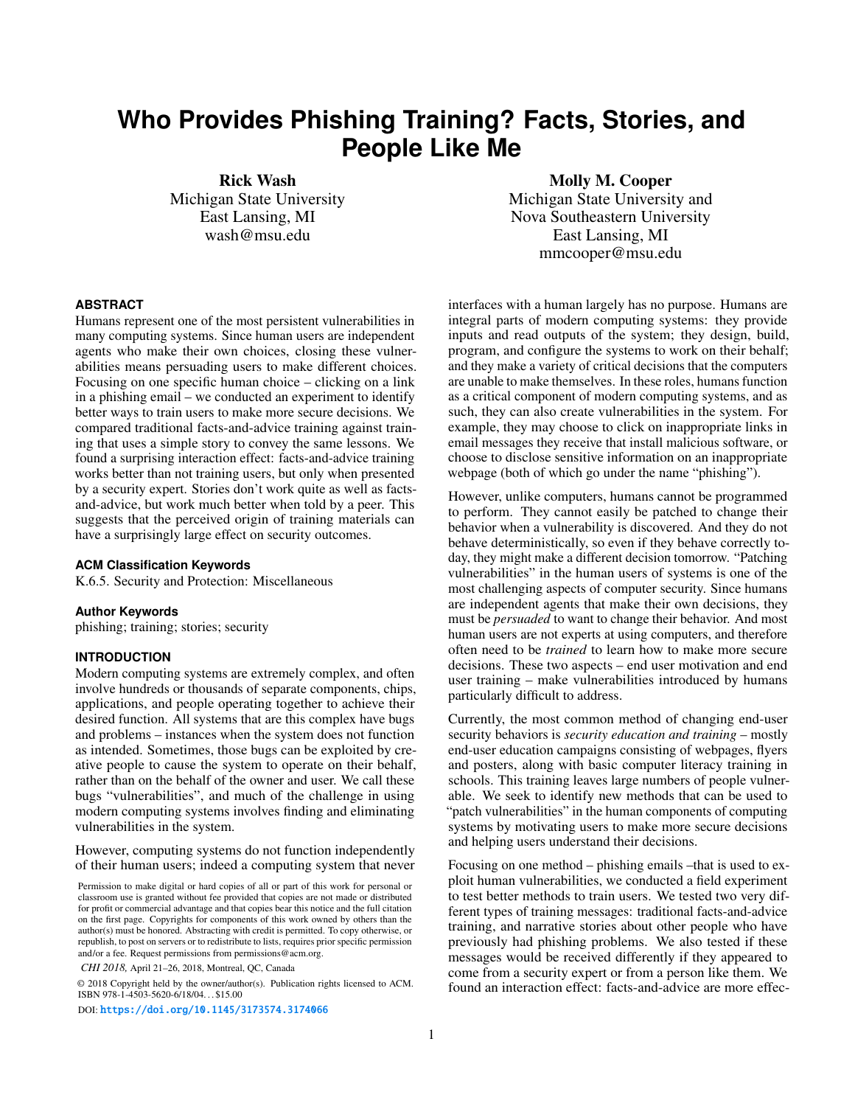# **Who Provides Phishing Training? Facts, Stories, and People Like Me**

Rick Wash Michigan State University East Lansing, MI wash@msu.edu

Molly M. Cooper Michigan State University and Nova Southeastern University East Lansing, MI mmcooper@msu.edu

#### **ABSTRACT**

Humans represent one of the most persistent vulnerabilities in many computing systems. Since human users are independent agents who make their own choices, closing these vulnerabilities means persuading users to make different choices. Focusing on one specific human choice – clicking on a link in a phishing email – we conducted an experiment to identify better ways to train users to make more secure decisions. We compared traditional facts-and-advice training against training that uses a simple story to convey the same lessons. We found a surprising interaction effect: facts-and-advice training works better than not training users, but only when presented by a security expert. Stories don't work quite as well as factsand-advice, but work much better when told by a peer. This suggests that the perceived origin of training materials can have a surprisingly large effect on security outcomes.

#### **ACM Classification Keywords**

K.6.5. Security and Protection: Miscellaneous

#### **Author Keywords**

phishing; training; stories; security

# **INTRODUCTION**

Modern computing systems are extremely complex, and often involve hundreds or thousands of separate components, chips, applications, and people operating together to achieve their desired function. All systems that are this complex have bugs and problems – instances when the system does not function as intended. Sometimes, those bugs can be exploited by creative people to cause the system to operate on their behalf, rather than on the behalf of the owner and user. We call these bugs "vulnerabilities", and much of the challenge in using modern computing systems involves finding and eliminating vulnerabilities in the system.

However, computing systems do not function independently of their human users; indeed a computing system that never

*CHI 2018,* April 21–26, 2018, Montreal, QC, Canada

© 2018 Copyright held by the owner/author(s). Publication rights licensed to ACM. ISBN 978-1-4503-5620-6/18/04. . . \$15.00

DOI: <https://doi.org/10.1145/3173574.3174066>

interfaces with a human largely has no purpose. Humans are integral parts of modern computing systems: they provide inputs and read outputs of the system; they design, build, program, and configure the systems to work on their behalf; and they make a variety of critical decisions that the computers are unable to make themselves. In these roles, humans function as a critical component of modern computing systems, and as such, they can also create vulnerabilities in the system. For example, they may choose to click on inappropriate links in email messages they receive that install malicious software, or choose to disclose sensitive information on an inappropriate webpage (both of which go under the name "phishing").

However, unlike computers, humans cannot be programmed to perform. They cannot easily be patched to change their behavior when a vulnerability is discovered. And they do not behave deterministically, so even if they behave correctly today, they might make a different decision tomorrow. "Patching vulnerabilities" in the human users of systems is one of the most challenging aspects of computer security. Since humans are independent agents that make their own decisions, they must be *persuaded* to want to change their behavior. And most human users are not experts at using computers, and therefore often need to be *trained* to learn how to make more secure decisions. These two aspects – end user motivation and end user training – make vulnerabilities introduced by humans particularly difficult to address.

Currently, the most common method of changing end-user security behaviors is *security education and training* – mostly end-user education campaigns consisting of webpages, flyers and posters, along with basic computer literacy training in schools. This training leaves large numbers of people vulnerable. We seek to identify new methods that can be used to "patch vulnerabilities" in the human components of computing systems by motivating users to make more secure decisions and helping users understand their decisions.

Focusing on one method – phishing emails –that is used to exploit human vulnerabilities, we conducted a field experiment to test better methods to train users. We tested two very different types of training messages: traditional facts-and-advice training, and narrative stories about other people who have previously had phishing problems. We also tested if these messages would be received differently if they appeared to come from a security expert or from a person like them. We found an interaction effect: facts-and-advice are more effec-

Permission to make digital or hard copies of all or part of this work for personal or classroom use is granted without fee provided that copies are not made or distributed for profit or commercial advantage and that copies bear this notice and the full citation on the first page. Copyrights for components of this work owned by others than the author(s) must be honored. Abstracting with credit is permitted. To copy otherwise, or republish, to post on servers or to redistribute to lists, requires prior specific permission and/or a fee. Request permissions from permissions@acm.org.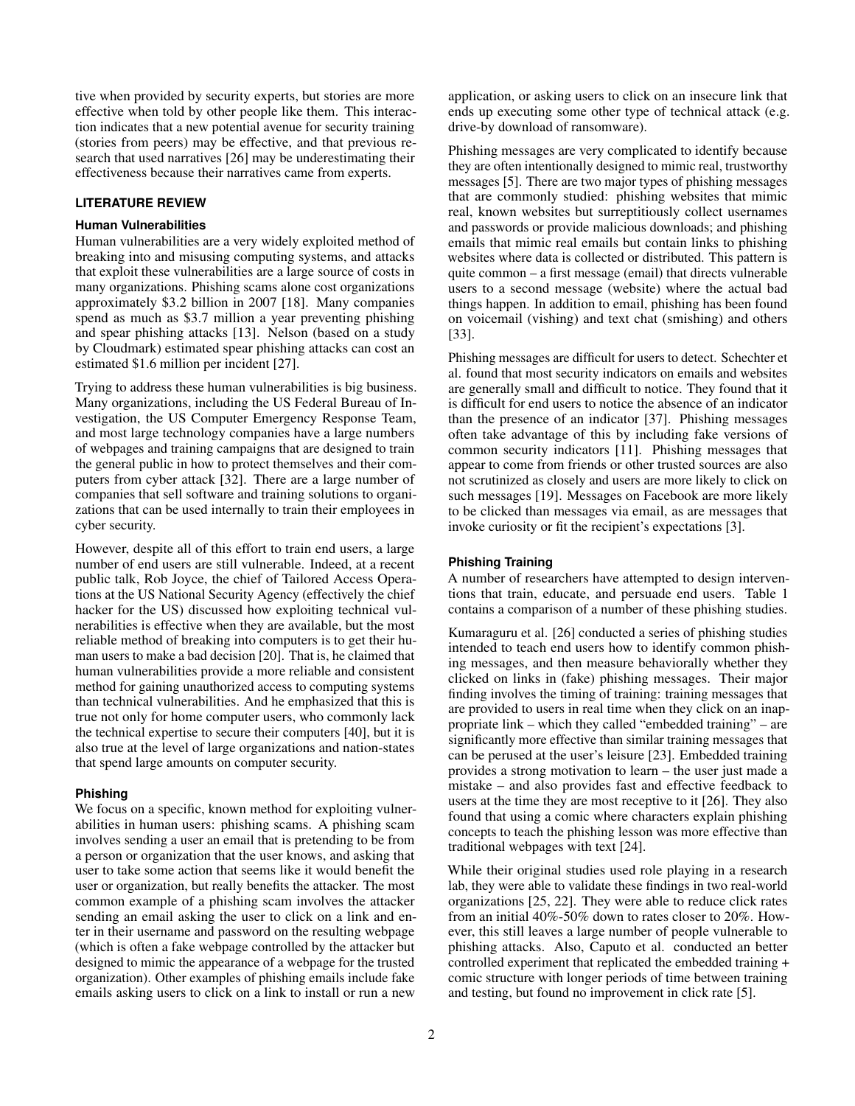tive when provided by security experts, but stories are more effective when told by other people like them. This interaction indicates that a new potential avenue for security training (stories from peers) may be effective, and that previous research that used narratives [\[26\]](#page-10-0) may be underestimating their effectiveness because their narratives came from experts.

# **LITERATURE REVIEW**

### **Human Vulnerabilities**

Human vulnerabilities are a very widely exploited method of breaking into and misusing computing systems, and attacks that exploit these vulnerabilities are a large source of costs in many organizations. Phishing scams alone cost organizations approximately \$3.2 billion in 2007 [\[18\]](#page-10-1). Many companies spend as much as \$3.7 million a year preventing phishing and spear phishing attacks [\[13\]](#page-10-2). Nelson (based on a study by Cloudmark) estimated spear phishing attacks can cost an estimated \$1.6 million per incident [\[27\]](#page-10-3).

Trying to address these human vulnerabilities is big business. Many organizations, including the US Federal Bureau of Investigation, the US Computer Emergency Response Team, and most large technology companies have a large numbers of webpages and training campaigns that are designed to train the general public in how to protect themselves and their computers from cyber attack [\[32\]](#page-11-0). There are a large number of companies that sell software and training solutions to organizations that can be used internally to train their employees in cyber security.

However, despite all of this effort to train end users, a large number of end users are still vulnerable. Indeed, at a recent public talk, Rob Joyce, the chief of Tailored Access Operations at the US National Security Agency (effectively the chief hacker for the US) discussed how exploiting technical vulnerabilities is effective when they are available, but the most reliable method of breaking into computers is to get their human users to make a bad decision [\[20\]](#page-10-4). That is, he claimed that human vulnerabilities provide a more reliable and consistent method for gaining unauthorized access to computing systems than technical vulnerabilities. And he emphasized that this is true not only for home computer users, who commonly lack the technical expertise to secure their computers [\[40\]](#page-11-1), but it is also true at the level of large organizations and nation-states that spend large amounts on computer security.

### **Phishing**

We focus on a specific, known method for exploiting vulnerabilities in human users: phishing scams. A phishing scam involves sending a user an email that is pretending to be from a person or organization that the user knows, and asking that user to take some action that seems like it would benefit the user or organization, but really benefits the attacker. The most common example of a phishing scam involves the attacker sending an email asking the user to click on a link and enter in their username and password on the resulting webpage (which is often a fake webpage controlled by the attacker but designed to mimic the appearance of a webpage for the trusted organization). Other examples of phishing emails include fake emails asking users to click on a link to install or run a new

application, or asking users to click on an insecure link that ends up executing some other type of technical attack (e.g. drive-by download of ransomware).

Phishing messages are very complicated to identify because they are often intentionally designed to mimic real, trustworthy messages [\[5\]](#page-9-0). There are two major types of phishing messages that are commonly studied: phishing websites that mimic real, known websites but surreptitiously collect usernames and passwords or provide malicious downloads; and phishing emails that mimic real emails but contain links to phishing websites where data is collected or distributed. This pattern is quite common – a first message (email) that directs vulnerable users to a second message (website) where the actual bad things happen. In addition to email, phishing has been found on voicemail (vishing) and text chat (smishing) and others [\[33\]](#page-11-2).

Phishing messages are difficult for users to detect. Schechter et al. found that most security indicators on emails and websites are generally small and difficult to notice. They found that it is difficult for end users to notice the absence of an indicator than the presence of an indicator [\[37\]](#page-11-3). Phishing messages often take advantage of this by including fake versions of common security indicators [\[11\]](#page-10-5). Phishing messages that appear to come from friends or other trusted sources are also not scrutinized as closely and users are more likely to click on such messages [\[19\]](#page-10-6). Messages on Facebook are more likely to be clicked than messages via email, as are messages that invoke curiosity or fit the recipient's expectations [\[3\]](#page-9-1).

# **Phishing Training**

A number of researchers have attempted to design interventions that train, educate, and persuade end users. Table [1](#page-2-0) contains a comparison of a number of these phishing studies.

Kumaraguru et al. [\[26\]](#page-10-0) conducted a series of phishing studies intended to teach end users how to identify common phishing messages, and then measure behaviorally whether they clicked on links in (fake) phishing messages. Their major finding involves the timing of training: training messages that are provided to users in real time when they click on an inappropriate link – which they called "embedded training" – are significantly more effective than similar training messages that can be perused at the user's leisure [\[23\]](#page-10-7). Embedded training provides a strong motivation to learn – the user just made a mistake – and also provides fast and effective feedback to users at the time they are most receptive to it [\[26\]](#page-10-0). They also found that using a comic where characters explain phishing concepts to teach the phishing lesson was more effective than traditional webpages with text [\[24\]](#page-10-8).

While their original studies used role playing in a research lab, they were able to validate these findings in two real-world organizations [\[25,](#page-10-9) [22\]](#page-10-10). They were able to reduce click rates from an initial 40%-50% down to rates closer to 20%. However, this still leaves a large number of people vulnerable to phishing attacks. Also, Caputo et al. conducted an better controlled experiment that replicated the embedded training + comic structure with longer periods of time between training and testing, but found no improvement in click rate [\[5\]](#page-9-0).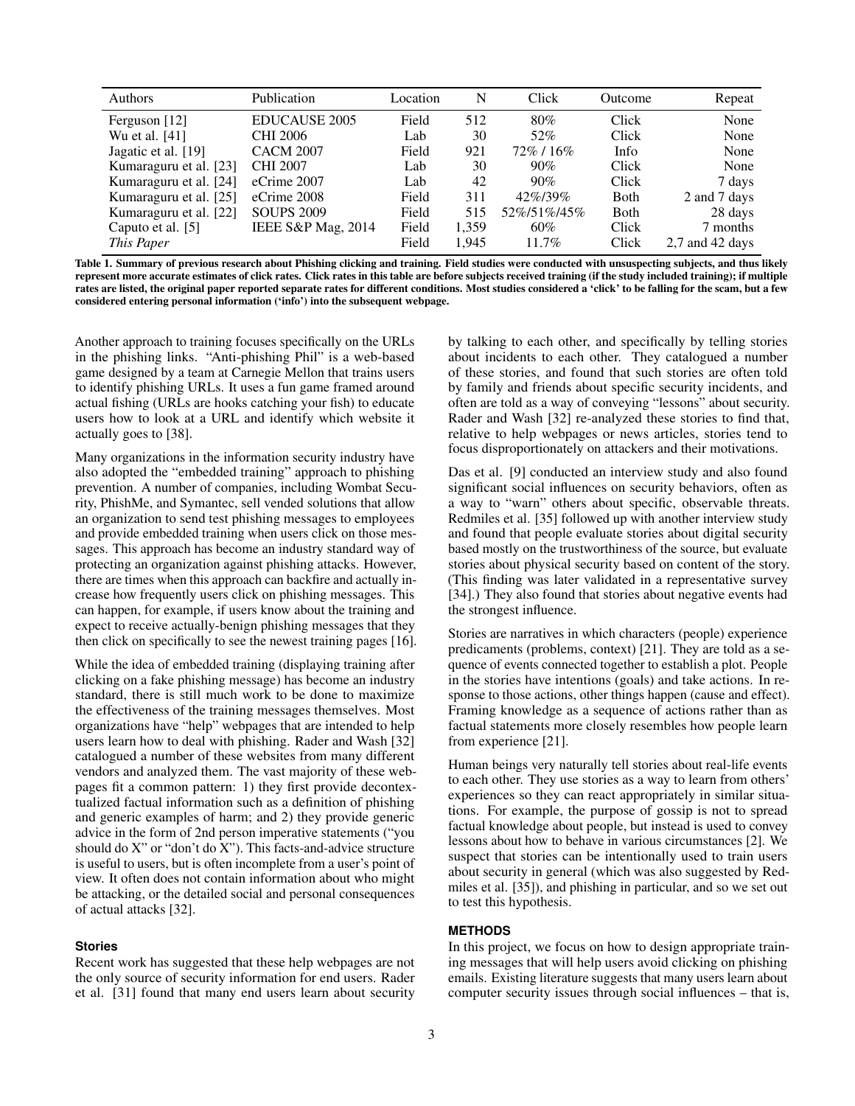| <b>Authors</b>         | Publication          | Location | N     | Click       | Outcome      | Repeat          |
|------------------------|----------------------|----------|-------|-------------|--------------|-----------------|
| Ferguson [12]          | <b>EDUCAUSE 2005</b> | Field    | 512   | 80%         | Click        | None            |
| Wu et al. [41]         | <b>CHI 2006</b>      | Lab      | 30    | 52%         | Click        | None            |
| Jagatic et al. [19]    | <b>CACM 2007</b>     | Field    | 921   | 72% / 16%   | Info         | None            |
| Kumaraguru et al. [23] | CHI 2007             | Lab      | 30    | 90%         | Click        | None            |
| Kumaraguru et al. [24] | eCrime 2007          | Lab      | 42    | 90%         | Click        | 7 days          |
| Kumaraguru et al. [25] | eCrime 2008          | Field    | 311   | $42\%/39\%$ | <b>Both</b>  | 2 and 7 days    |
| Kumaraguru et al. [22] | <b>SOUPS 2009</b>    | Field    | 515   | 52%/51%/45% | <b>B</b> oth | 28 days         |
| Caputo et al. [5]      | IEEE S&P Mag, 2014   | Field    | 1,359 | 60%         | Click        | 7 months        |
| This Paper             |                      | Field    | 1,945 | 11.7%       | Click        | 2.7 and 42 days |

<span id="page-2-0"></span>Table 1. Summary of previous research about Phishing clicking and training. Field studies were conducted with unsuspecting subjects, and thus likely represent more accurate estimates of click rates. Click rates in this table are before subjects received training (if the study included training); if multiple rates are listed, the original paper reported separate rates for different conditions. Most studies considered a 'click' to be falling for the scam, but a few considered entering personal information ('info') into the subsequent webpage.

Another approach to training focuses specifically on the URLs in the phishing links. "Anti-phishing Phil" is a web-based game designed by a team at Carnegie Mellon that trains users to identify phishing URLs. It uses a fun game framed around actual fishing (URLs are hooks catching your fish) to educate users how to look at a URL and identify which website it actually goes to [\[38\]](#page-11-5).

Many organizations in the information security industry have also adopted the "embedded training" approach to phishing prevention. A number of companies, including Wombat Security, PhishMe, and Symantec, sell vended solutions that allow an organization to send test phishing messages to employees and provide embedded training when users click on those messages. This approach has become an industry standard way of protecting an organization against phishing attacks. However, there are times when this approach can backfire and actually increase how frequently users click on phishing messages. This can happen, for example, if users know about the training and expect to receive actually-benign phishing messages that they then click on specifically to see the newest training pages [\[16\]](#page-10-12).

While the idea of embedded training (displaying training after clicking on a fake phishing message) has become an industry standard, there is still much work to be done to maximize the effectiveness of the training messages themselves. Most organizations have "help" webpages that are intended to help users learn how to deal with phishing. Rader and Wash [\[32\]](#page-11-0) catalogued a number of these websites from many different vendors and analyzed them. The vast majority of these webpages fit a common pattern: 1) they first provide decontextualized factual information such as a definition of phishing and generic examples of harm; and 2) they provide generic advice in the form of 2nd person imperative statements ("you should do X" or "don't do X"). This facts-and-advice structure is useful to users, but is often incomplete from a user's point of view. It often does not contain information about who might be attacking, or the detailed social and personal consequences of actual attacks [\[32\]](#page-11-0).

# **Stories**

Recent work has suggested that these help webpages are not the only source of security information for end users. Rader et al. [\[31\]](#page-11-6) found that many end users learn about security

by talking to each other, and specifically by telling stories about incidents to each other. They catalogued a number of these stories, and found that such stories are often told by family and friends about specific security incidents, and often are told as a way of conveying "lessons" about security. Rader and Wash [\[32\]](#page-11-0) re-analyzed these stories to find that, relative to help webpages or news articles, stories tend to focus disproportionately on attackers and their motivations.

Das et al. [\[9\]](#page-10-13) conducted an interview study and also found significant social influences on security behaviors, often as a way to "warn" others about specific, observable threats. Redmiles et al. [\[35\]](#page-11-7) followed up with another interview study and found that people evaluate stories about digital security based mostly on the trustworthiness of the source, but evaluate stories about physical security based on content of the story. (This finding was later validated in a representative survey [\[34\]](#page-11-8).) They also found that stories about negative events had the strongest influence.

Stories are narratives in which characters (people) experience predicaments (problems, context) [\[21\]](#page-10-14). They are told as a sequence of events connected together to establish a plot. People in the stories have intentions (goals) and take actions. In response to those actions, other things happen (cause and effect). Framing knowledge as a sequence of actions rather than as factual statements more closely resembles how people learn from experience [\[21\]](#page-10-14).

Human beings very naturally tell stories about real-life events to each other. They use stories as a way to learn from others' experiences so they can react appropriately in similar situations. For example, the purpose of gossip is not to spread factual knowledge about people, but instead is used to convey lessons about how to behave in various circumstances [\[2\]](#page-9-2). We suspect that stories can be intentionally used to train users about security in general (which was also suggested by Redmiles et al. [\[35\]](#page-11-7)), and phishing in particular, and so we set out to test this hypothesis.

# **METHODS**

In this project, we focus on how to design appropriate training messages that will help users avoid clicking on phishing emails. Existing literature suggests that many users learn about computer security issues through social influences – that is,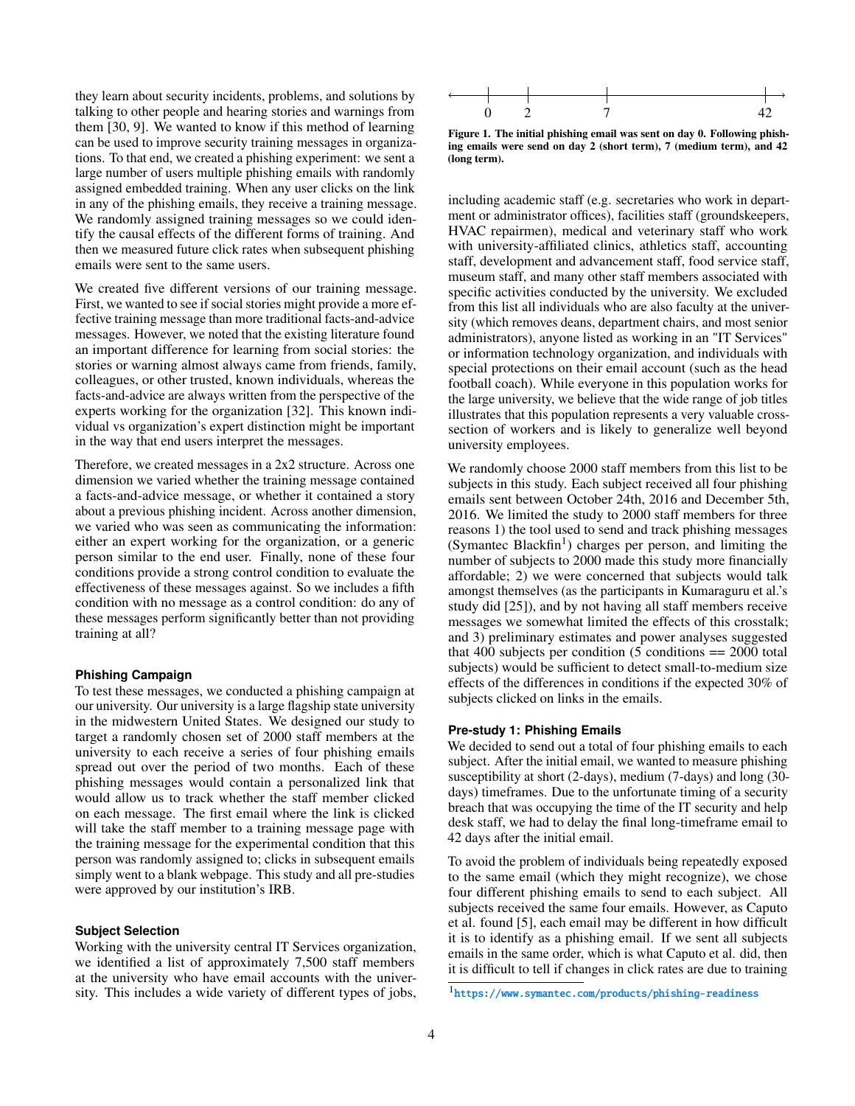they learn about security incidents, problems, and solutions by talking to other people and hearing stories and warnings from them [\[30,](#page-10-15) [9\]](#page-10-13). We wanted to know if this method of learning can be used to improve security training messages in organizations. To that end, we created a phishing experiment: we sent a large number of users multiple phishing emails with randomly assigned embedded training. When any user clicks on the link in any of the phishing emails, they receive a training message. We randomly assigned training messages so we could identify the causal effects of the different forms of training. And then we measured future click rates when subsequent phishing emails were sent to the same users.

We created five different versions of our training message. First, we wanted to see if social stories might provide a more effective training message than more traditional facts-and-advice messages. However, we noted that the existing literature found an important difference for learning from social stories: the stories or warning almost always came from friends, family, colleagues, or other trusted, known individuals, whereas the facts-and-advice are always written from the perspective of the experts working for the organization [\[32\]](#page-11-0). This known individual vs organization's expert distinction might be important in the way that end users interpret the messages.

Therefore, we created messages in a 2x2 structure. Across one dimension we varied whether the training message contained a facts-and-advice message, or whether it contained a story about a previous phishing incident. Across another dimension, we varied who was seen as communicating the information: either an expert working for the organization, or a generic person similar to the end user. Finally, none of these four conditions provide a strong control condition to evaluate the effectiveness of these messages against. So we includes a fifth condition with no message as a control condition: do any of these messages perform significantly better than not providing training at all?

# **Phishing Campaign**

To test these messages, we conducted a phishing campaign at our university. Our university is a large flagship state university in the midwestern United States. We designed our study to target a randomly chosen set of 2000 staff members at the university to each receive a series of four phishing emails spread out over the period of two months. Each of these phishing messages would contain a personalized link that would allow us to track whether the staff member clicked on each message. The first email where the link is clicked will take the staff member to a training message page with the training message for the experimental condition that this person was randomly assigned to; clicks in subsequent emails simply went to a blank webpage. This study and all pre-studies were approved by our institution's IRB.

#### **Subject Selection**

Working with the university central IT Services organization, we identified a list of approximately 7,500 staff members at the university who have email accounts with the university. This includes a wide variety of different types of jobs,



Figure 1. The initial phishing email was sent on day 0. Following phishing emails were send on day 2 (short term), 7 (medium term), and 42 (long term).

including academic staff (e.g. secretaries who work in department or administrator offices), facilities staff (groundskeepers, HVAC repairmen), medical and veterinary staff who work with university-affiliated clinics, athletics staff, accounting staff, development and advancement staff, food service staff, museum staff, and many other staff members associated with specific activities conducted by the university. We excluded from this list all individuals who are also faculty at the university (which removes deans, department chairs, and most senior administrators), anyone listed as working in an "IT Services" or information technology organization, and individuals with special protections on their email account (such as the head football coach). While everyone in this population works for the large university, we believe that the wide range of job titles illustrates that this population represents a very valuable crosssection of workers and is likely to generalize well beyond university employees.

We randomly choose 2000 staff members from this list to be subjects in this study. Each subject received all four phishing emails sent between October 24th, 2016 and December 5th, 2016. We limited the study to 2000 staff members for three reasons 1) the tool used to send and track phishing messages (Symantec Blackfin<sup>[1](#page-3-0)</sup>) charges per person, and limiting the number of subjects to 2000 made this study more financially affordable; 2) we were concerned that subjects would talk amongst themselves (as the participants in Kumaraguru et al.'s study did [\[25\]](#page-10-9)), and by not having all staff members receive messages we somewhat limited the effects of this crosstalk; and 3) preliminary estimates and power analyses suggested that 400 subjects per condition  $(5 \text{ conditions} == 2000 \text{ total})$ subjects) would be sufficient to detect small-to-medium size effects of the differences in conditions if the expected 30% of subjects clicked on links in the emails.

#### **Pre-study 1: Phishing Emails**

We decided to send out a total of four phishing emails to each subject. After the initial email, we wanted to measure phishing susceptibility at short (2-days), medium (7-days) and long (30 days) timeframes. Due to the unfortunate timing of a security breach that was occupying the time of the IT security and help desk staff, we had to delay the final long-timeframe email to 42 days after the initial email.

To avoid the problem of individuals being repeatedly exposed to the same email (which they might recognize), we chose four different phishing emails to send to each subject. All subjects received the same four emails. However, as Caputo et al. found [\[5\]](#page-9-0), each email may be different in how difficult it is to identify as a phishing email. If we sent all subjects emails in the same order, which is what Caputo et al. did, then it is difficult to tell if changes in click rates are due to training

<span id="page-3-0"></span><sup>1</sup> <https://www.symantec.com/products/phishing-readiness>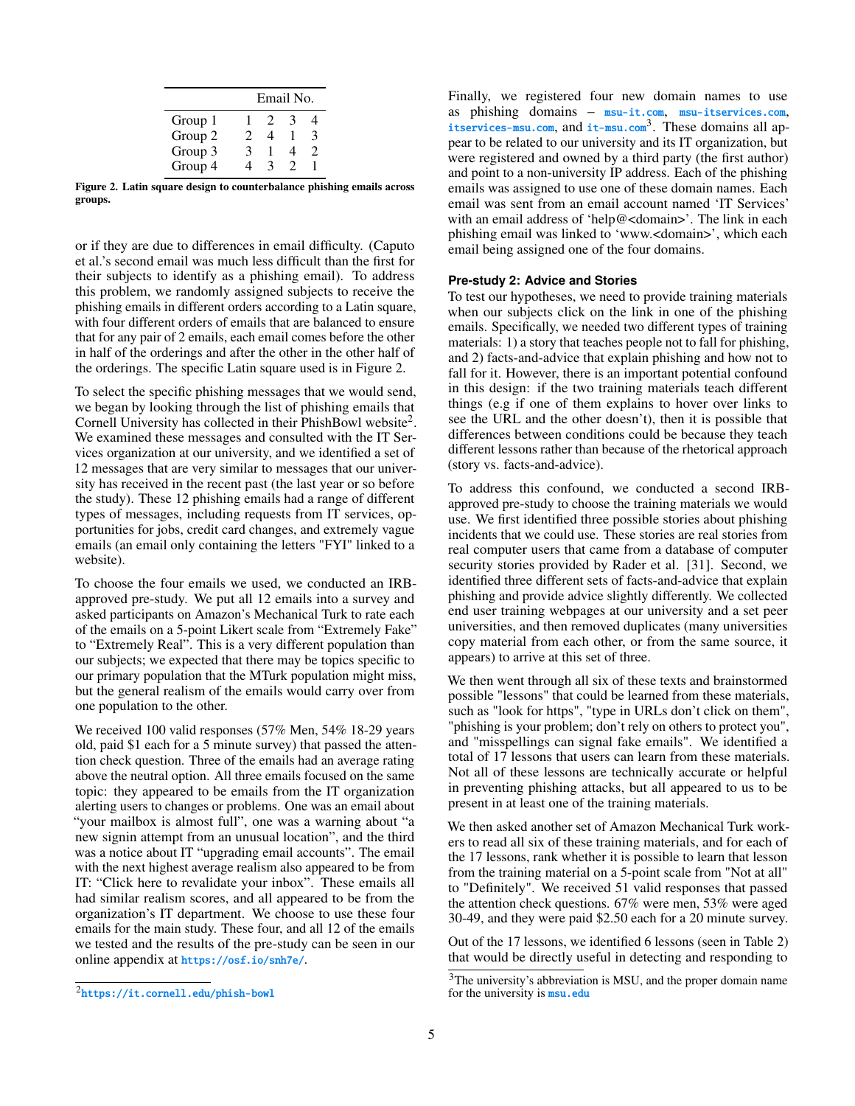|         | Email No. |  |  |   |
|---------|-----------|--|--|---|
| Group 1 |           |  |  |   |
| Group 2 |           |  |  | 3 |
| Group 3 | 3         |  |  |   |
| Group 4 |           |  |  |   |

<span id="page-4-0"></span>Figure 2. Latin square design to counterbalance phishing emails across groups.

or if they are due to differences in email difficulty. (Caputo et al.'s second email was much less difficult than the first for their subjects to identify as a phishing email). To address this problem, we randomly assigned subjects to receive the phishing emails in different orders according to a Latin square, with four different orders of emails that are balanced to ensure that for any pair of 2 emails, each email comes before the other in half of the orderings and after the other in the other half of the orderings. The specific Latin square used is in Figure [2.](#page-4-0)

To select the specific phishing messages that we would send, we began by looking through the list of phishing emails that Cornell University has collected in their PhishBowl website[2](#page-4-1) . We examined these messages and consulted with the IT Services organization at our university, and we identified a set of 12 messages that are very similar to messages that our university has received in the recent past (the last year or so before the study). These 12 phishing emails had a range of different types of messages, including requests from IT services, opportunities for jobs, credit card changes, and extremely vague emails (an email only containing the letters "FYI" linked to a website).

To choose the four emails we used, we conducted an IRBapproved pre-study. We put all 12 emails into a survey and asked participants on Amazon's Mechanical Turk to rate each of the emails on a 5-point Likert scale from "Extremely Fake" to "Extremely Real". This is a very different population than our subjects; we expected that there may be topics specific to our primary population that the MTurk population might miss, but the general realism of the emails would carry over from one population to the other.

We received 100 valid responses (57% Men, 54% 18-29 years old, paid \$1 each for a 5 minute survey) that passed the attention check question. Three of the emails had an average rating above the neutral option. All three emails focused on the same topic: they appeared to be emails from the IT organization alerting users to changes or problems. One was an email about "your mailbox is almost full", one was a warning about "a new signin attempt from an unusual location", and the third was a notice about IT "upgrading email accounts". The email with the next highest average realism also appeared to be from IT: "Click here to revalidate your inbox". These emails all had similar realism scores, and all appeared to be from the organization's IT department. We choose to use these four emails for the main study. These four, and all 12 of the emails we tested and the results of the pre-study can be seen in our online appendix at <https://osf.io/snh7e/>.

Finally, we registered four new domain names to use as phishing domains – <msu-it.com>, <msu-itservices.com>, <itservices-msu.com>, and <it-msu.com><sup>[3](#page-4-2)</sup>. These domains all appear to be related to our university and its IT organization, but were registered and owned by a third party (the first author) and point to a non-university IP address. Each of the phishing emails was assigned to use one of these domain names. Each email was sent from an email account named 'IT Services' with an email address of 'help@<domain>'. The link in each phishing email was linked to 'www.<domain>', which each email being assigned one of the four domains.

# **Pre-study 2: Advice and Stories**

To test our hypotheses, we need to provide training materials when our subjects click on the link in one of the phishing emails. Specifically, we needed two different types of training materials: 1) a story that teaches people not to fall for phishing, and 2) facts-and-advice that explain phishing and how not to fall for it. However, there is an important potential confound in this design: if the two training materials teach different things (e.g if one of them explains to hover over links to see the URL and the other doesn't), then it is possible that differences between conditions could be because they teach different lessons rather than because of the rhetorical approach (story vs. facts-and-advice).

To address this confound, we conducted a second IRBapproved pre-study to choose the training materials we would use. We first identified three possible stories about phishing incidents that we could use. These stories are real stories from real computer users that came from a database of computer security stories provided by Rader et al. [\[31\]](#page-11-6). Second, we identified three different sets of facts-and-advice that explain phishing and provide advice slightly differently. We collected end user training webpages at our university and a set peer universities, and then removed duplicates (many universities copy material from each other, or from the same source, it appears) to arrive at this set of three.

We then went through all six of these texts and brainstormed possible "lessons" that could be learned from these materials, such as "look for https", "type in URLs don't click on them", "phishing is your problem; don't rely on others to protect you", and "misspellings can signal fake emails". We identified a total of 17 lessons that users can learn from these materials. Not all of these lessons are technically accurate or helpful in preventing phishing attacks, but all appeared to us to be present in at least one of the training materials.

We then asked another set of Amazon Mechanical Turk workers to read all six of these training materials, and for each of the 17 lessons, rank whether it is possible to learn that lesson from the training material on a 5-point scale from "Not at all" to "Definitely". We received 51 valid responses that passed the attention check questions. 67% were men, 53% were aged 30-49, and they were paid \$2.50 each for a 20 minute survey.

Out of the 17 lessons, we identified 6 lessons (seen in Table [2\)](#page-5-0) that would be directly useful in detecting and responding to

<span id="page-4-1"></span> $^2$ <https://it.cornell.edu/phish-bowl>

<span id="page-4-2"></span><sup>&</sup>lt;sup>3</sup>The university's abbreviation is MSU, and the proper domain name for the university is **<msu.edu>**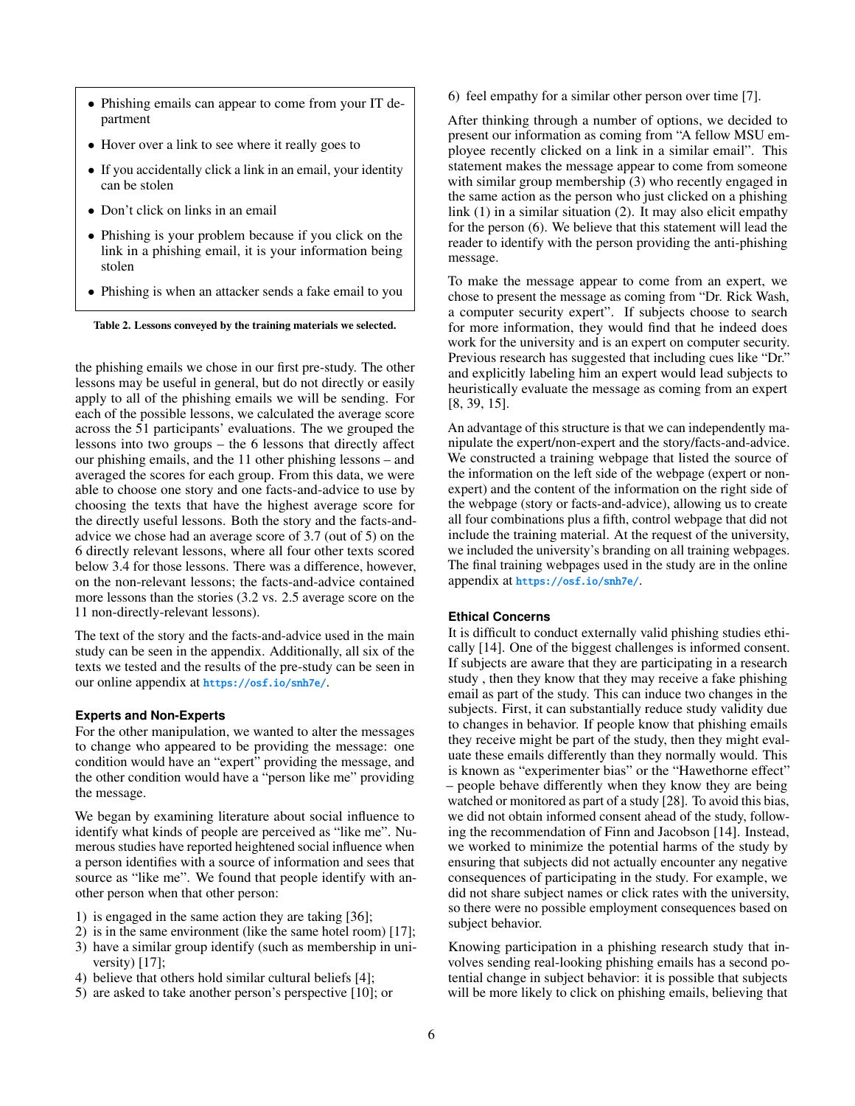- Phishing emails can appear to come from your IT department
- Hover over a link to see where it really goes to
- If you accidentally click a link in an email, your identity can be stolen
- Don't click on links in an email
- Phishing is your problem because if you click on the link in a phishing email, it is your information being stolen
- Phishing is when an attacker sends a fake email to you

<span id="page-5-0"></span>Table 2. Lessons conveyed by the training materials we selected.

the phishing emails we chose in our first pre-study. The other lessons may be useful in general, but do not directly or easily apply to all of the phishing emails we will be sending. For each of the possible lessons, we calculated the average score across the 51 participants' evaluations. The we grouped the lessons into two groups – the 6 lessons that directly affect our phishing emails, and the 11 other phishing lessons – and averaged the scores for each group. From this data, we were able to choose one story and one facts-and-advice to use by choosing the texts that have the highest average score for the directly useful lessons. Both the story and the facts-andadvice we chose had an average score of 3.7 (out of 5) on the 6 directly relevant lessons, where all four other texts scored below 3.4 for those lessons. There was a difference, however, on the non-relevant lessons; the facts-and-advice contained more lessons than the stories (3.2 vs. 2.5 average score on the 11 non-directly-relevant lessons).

The text of the story and the facts-and-advice used in the main study can be seen in the appendix. Additionally, all six of the texts we tested and the results of the pre-study can be seen in our online appendix at <https://osf.io/snh7e/>.

# **Experts and Non-Experts**

For the other manipulation, we wanted to alter the messages to change who appeared to be providing the message: one condition would have an "expert" providing the message, and the other condition would have a "person like me" providing the message.

We began by examining literature about social influence to identify what kinds of people are perceived as "like me". Numerous studies have reported heightened social influence when a person identifies with a source of information and sees that source as "like me". We found that people identify with another person when that other person:

- 1) is engaged in the same action they are taking [\[36\]](#page-11-9);
- 2) is in the same environment (like the same hotel room) [\[17\]](#page-10-16);
- 3) have a similar group identify (such as membership in university) [\[17\]](#page-10-16);
- 4) believe that others hold similar cultural beliefs [\[4\]](#page-9-3);
- 5) are asked to take another person's perspective [\[10\]](#page-10-17); or

6) feel empathy for a similar other person over time [\[7\]](#page-10-18).

After thinking through a number of options, we decided to present our information as coming from "A fellow MSU employee recently clicked on a link in a similar email". This statement makes the message appear to come from someone with similar group membership (3) who recently engaged in the same action as the person who just clicked on a phishing link (1) in a similar situation (2). It may also elicit empathy for the person (6). We believe that this statement will lead the reader to identify with the person providing the anti-phishing message.

To make the message appear to come from an expert, we chose to present the message as coming from "Dr. Rick Wash, a computer security expert". If subjects choose to search for more information, they would find that he indeed does work for the university and is an expert on computer security. Previous research has suggested that including cues like "Dr." and explicitly labeling him an expert would lead subjects to heuristically evaluate the message as coming from an expert [\[8,](#page-10-19) [39,](#page-11-10) [15\]](#page-10-20).

An advantage of this structure is that we can independently manipulate the expert/non-expert and the story/facts-and-advice. We constructed a training webpage that listed the source of the information on the left side of the webpage (expert or nonexpert) and the content of the information on the right side of the webpage (story or facts-and-advice), allowing us to create all four combinations plus a fifth, control webpage that did not include the training material. At the request of the university, we included the university's branding on all training webpages. The final training webpages used in the study are in the online appendix at <https://osf.io/snh7e/>.

#### **Ethical Concerns**

It is difficult to conduct externally valid phishing studies ethically [\[14\]](#page-10-21). One of the biggest challenges is informed consent. If subjects are aware that they are participating in a research study , then they know that they may receive a fake phishing email as part of the study. This can induce two changes in the subjects. First, it can substantially reduce study validity due to changes in behavior. If people know that phishing emails they receive might be part of the study, then they might evaluate these emails differently than they normally would. This is known as "experimenter bias" or the "Hawethorne effect" – people behave differently when they know they are being watched or monitored as part of a study [\[28\]](#page-10-22). To avoid this bias, we did not obtain informed consent ahead of the study, following the recommendation of Finn and Jacobson [\[14\]](#page-10-21). Instead, we worked to minimize the potential harms of the study by ensuring that subjects did not actually encounter any negative consequences of participating in the study. For example, we did not share subject names or click rates with the university, so there were no possible employment consequences based on subject behavior.

Knowing participation in a phishing research study that involves sending real-looking phishing emails has a second potential change in subject behavior: it is possible that subjects will be more likely to click on phishing emails, believing that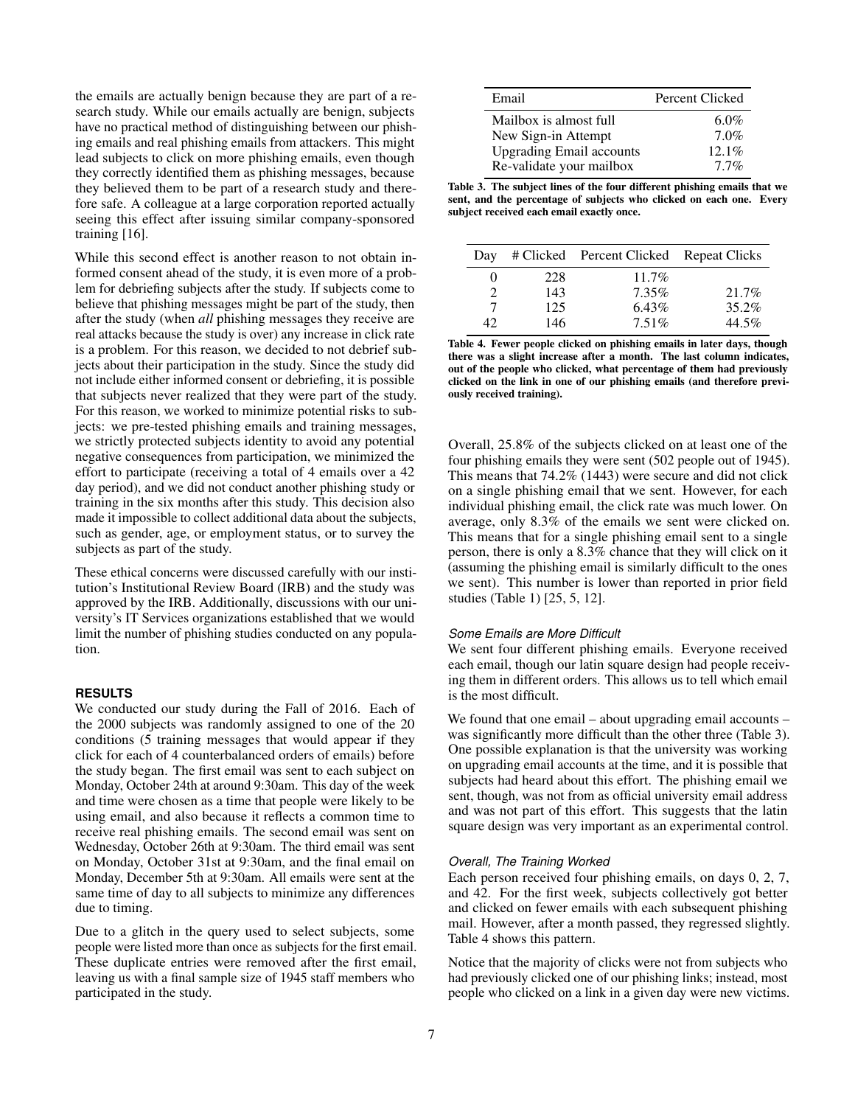the emails are actually benign because they are part of a research study. While our emails actually are benign, subjects have no practical method of distinguishing between our phishing emails and real phishing emails from attackers. This might lead subjects to click on more phishing emails, even though they correctly identified them as phishing messages, because they believed them to be part of a research study and therefore safe. A colleague at a large corporation reported actually seeing this effect after issuing similar company-sponsored training [\[16\]](#page-10-12).

While this second effect is another reason to not obtain informed consent ahead of the study, it is even more of a problem for debriefing subjects after the study. If subjects come to believe that phishing messages might be part of the study, then after the study (when *all* phishing messages they receive are real attacks because the study is over) any increase in click rate is a problem. For this reason, we decided to not debrief subjects about their participation in the study. Since the study did not include either informed consent or debriefing, it is possible that subjects never realized that they were part of the study. For this reason, we worked to minimize potential risks to subjects: we pre-tested phishing emails and training messages, we strictly protected subjects identity to avoid any potential negative consequences from participation, we minimized the effort to participate (receiving a total of 4 emails over a 42 day period), and we did not conduct another phishing study or training in the six months after this study. This decision also made it impossible to collect additional data about the subjects, such as gender, age, or employment status, or to survey the subjects as part of the study.

These ethical concerns were discussed carefully with our institution's Institutional Review Board (IRB) and the study was approved by the IRB. Additionally, discussions with our university's IT Services organizations established that we would limit the number of phishing studies conducted on any population.

#### **RESULTS**

We conducted our study during the Fall of 2016. Each of the 2000 subjects was randomly assigned to one of the 20 conditions (5 training messages that would appear if they click for each of 4 counterbalanced orders of emails) before the study began. The first email was sent to each subject on Monday, October 24th at around 9:30am. This day of the week and time were chosen as a time that people were likely to be using email, and also because it reflects a common time to receive real phishing emails. The second email was sent on Wednesday, October 26th at 9:30am. The third email was sent on Monday, October 31st at 9:30am, and the final email on Monday, December 5th at 9:30am. All emails were sent at the same time of day to all subjects to minimize any differences due to timing.

Due to a glitch in the query used to select subjects, some people were listed more than once as subjects for the first email. These duplicate entries were removed after the first email, leaving us with a final sample size of 1945 staff members who participated in the study.

| Email                           | Percent Clicked |
|---------------------------------|-----------------|
| Mailbox is almost full          | $6.0\%$         |
| New Sign-in Attempt             | 7.0%            |
| <b>Upgrading Email accounts</b> | $12.1\%$        |
| Re-validate your mailbox        | $7.7\%$         |

<span id="page-6-0"></span>Table 3. The subject lines of the four different phishing emails that we sent, and the percentage of subjects who clicked on each one. Every subject received each email exactly once.

| Day    |     | # Clicked Percent Clicked Repeat Clicks |       |
|--------|-----|-----------------------------------------|-------|
| $_{0}$ | 228 | $11.7\%$                                |       |
| 2      | 143 | $7.35\%$                                | 21.7% |
| 7      | 125 | 6.43%                                   | 35.2% |
| 42     | 146 | $7.51\%$                                | 44.5% |

<span id="page-6-1"></span>Table 4. Fewer people clicked on phishing emails in later days, though there was a slight increase after a month. The last column indicates, out of the people who clicked, what percentage of them had previously clicked on the link in one of our phishing emails (and therefore previously received training).

Overall, 25.8% of the subjects clicked on at least one of the four phishing emails they were sent (502 people out of 1945). This means that 74.2% (1443) were secure and did not click on a single phishing email that we sent. However, for each individual phishing email, the click rate was much lower. On average, only 8.3% of the emails we sent were clicked on. This means that for a single phishing email sent to a single person, there is only a 8.3% chance that they will click on it (assuming the phishing email is similarly difficult to the ones we sent). This number is lower than reported in prior field studies (Table [1\)](#page-2-0) [\[25,](#page-10-9) [5,](#page-9-0) [12\]](#page-10-11).

#### *Some Emails are More Difficult*

We sent four different phishing emails. Everyone received each email, though our latin square design had people receiving them in different orders. This allows us to tell which email is the most difficult.

We found that one email – about upgrading email accounts – was significantly more difficult than the other three (Table [3\)](#page-6-0). One possible explanation is that the university was working on upgrading email accounts at the time, and it is possible that subjects had heard about this effort. The phishing email we sent, though, was not from as official university email address and was not part of this effort. This suggests that the latin square design was very important as an experimental control.

#### *Overall, The Training Worked*

Each person received four phishing emails, on days 0, 2, 7, and 42. For the first week, subjects collectively got better and clicked on fewer emails with each subsequent phishing mail. However, after a month passed, they regressed slightly. Table [4](#page-6-1) shows this pattern.

Notice that the majority of clicks were not from subjects who had previously clicked one of our phishing links; instead, most people who clicked on a link in a given day were new victims.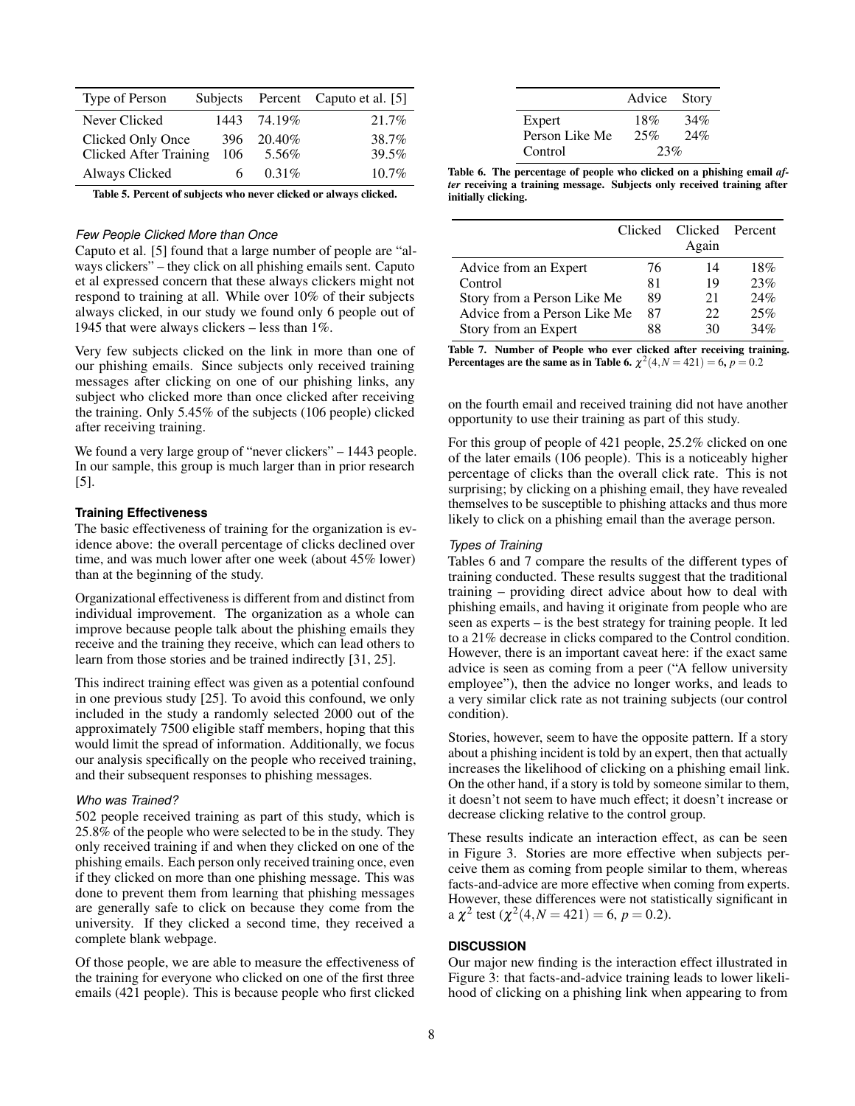| Type of Person                |      |             | Subjects Percent Caputo et al. [5] |
|-------------------------------|------|-------------|------------------------------------|
| Never Clicked                 |      | 1443 74.19% | 21.7%                              |
| Clicked Only Once             | 396  | 20.40%      | 38.7%                              |
| <b>Clicked After Training</b> | -106 | 5.56%       | 39.5%                              |
| Always Clicked                | h    | $0.31\%$    | $10.7\%$                           |

Table 5. Percent of subjects who never clicked or always clicked.

#### *Few People Clicked More than Once*

Caputo et al. [\[5\]](#page-9-0) found that a large number of people are "always clickers" – they click on all phishing emails sent. Caputo et al expressed concern that these always clickers might not respond to training at all. While over 10% of their subjects always clicked, in our study we found only 6 people out of 1945 that were always clickers – less than 1%.

Very few subjects clicked on the link in more than one of our phishing emails. Since subjects only received training messages after clicking on one of our phishing links, any subject who clicked more than once clicked after receiving the training. Only 5.45% of the subjects (106 people) clicked after receiving training.

We found a very large group of "never clickers" – 1443 people. In our sample, this group is much larger than in prior research [\[5\]](#page-9-0).

# **Training Effectiveness**

The basic effectiveness of training for the organization is evidence above: the overall percentage of clicks declined over time, and was much lower after one week (about 45% lower) than at the beginning of the study.

Organizational effectiveness is different from and distinct from individual improvement. The organization as a whole can improve because people talk about the phishing emails they receive and the training they receive, which can lead others to learn from those stories and be trained indirectly [\[31,](#page-11-6) [25\]](#page-10-9).

This indirect training effect was given as a potential confound in one previous study [\[25\]](#page-10-9). To avoid this confound, we only included in the study a randomly selected 2000 out of the approximately 7500 eligible staff members, hoping that this would limit the spread of information. Additionally, we focus our analysis specifically on the people who received training, and their subsequent responses to phishing messages.

#### *Who was Trained?*

502 people received training as part of this study, which is 25.8% of the people who were selected to be in the study. They only received training if and when they clicked on one of the phishing emails. Each person only received training once, even if they clicked on more than one phishing message. This was done to prevent them from learning that phishing messages are generally safe to click on because they come from the university. If they clicked a second time, they received a complete blank webpage.

Of those people, we are able to measure the effectiveness of the training for everyone who clicked on one of the first three emails (421 people). This is because people who first clicked

|                | Advice Story |     |
|----------------|--------------|-----|
| Expert         | 18%          | 34% |
| Person Like Me | 25%          | 24% |
| Control        | 23%          |     |

<span id="page-7-0"></span>Table 6. The percentage of people who clicked on a phishing email *after* receiving a training message. Subjects only received training after initially clicking.

|                              |    | Clicked Clicked<br>Again | Percent |
|------------------------------|----|--------------------------|---------|
| Advice from an Expert        | 76 | 14                       | 18%     |
| Control                      | 81 | 19                       | 23%     |
| Story from a Person Like Me  | 89 | 21                       | 24%     |
| Advice from a Person Like Me | 87 | 22                       | 25%     |
| Story from an Expert         | 88 | 30                       | 34%     |

<span id="page-7-1"></span>Table 7. Number of People who ever clicked after receiving training. **Percentages are the same as in Table [6.](#page-7-0)**  $\chi^2(4, N = 421) = 6, p = 0.2$ 

on the fourth email and received training did not have another opportunity to use their training as part of this study.

For this group of people of 421 people, 25.2% clicked on one of the later emails (106 people). This is a noticeably higher percentage of clicks than the overall click rate. This is not surprising; by clicking on a phishing email, they have revealed themselves to be susceptible to phishing attacks and thus more likely to click on a phishing email than the average person.

## *Types of Training*

Tables [6](#page-7-0) and [7](#page-7-1) compare the results of the different types of training conducted. These results suggest that the traditional training – providing direct advice about how to deal with phishing emails, and having it originate from people who are seen as experts – is the best strategy for training people. It led to a 21% decrease in clicks compared to the Control condition. However, there is an important caveat here: if the exact same advice is seen as coming from a peer ("A fellow university employee"), then the advice no longer works, and leads to a very similar click rate as not training subjects (our control condition).

Stories, however, seem to have the opposite pattern. If a story about a phishing incident is told by an expert, then that actually increases the likelihood of clicking on a phishing email link. On the other hand, if a story is told by someone similar to them, it doesn't not seem to have much effect; it doesn't increase or decrease clicking relative to the control group.

These results indicate an interaction effect, as can be seen in Figure [3.](#page-8-0) Stories are more effective when subjects perceive them as coming from people similar to them, whereas facts-and-advice are more effective when coming from experts. However, these differences were not statistically significant in a  $\chi^2$  test  $(\chi^2(4, N = 421) = 6, p = 0.2)$ .

## **DISCUSSION**

Our major new finding is the interaction effect illustrated in Figure [3:](#page-8-0) that facts-and-advice training leads to lower likelihood of clicking on a phishing link when appearing to from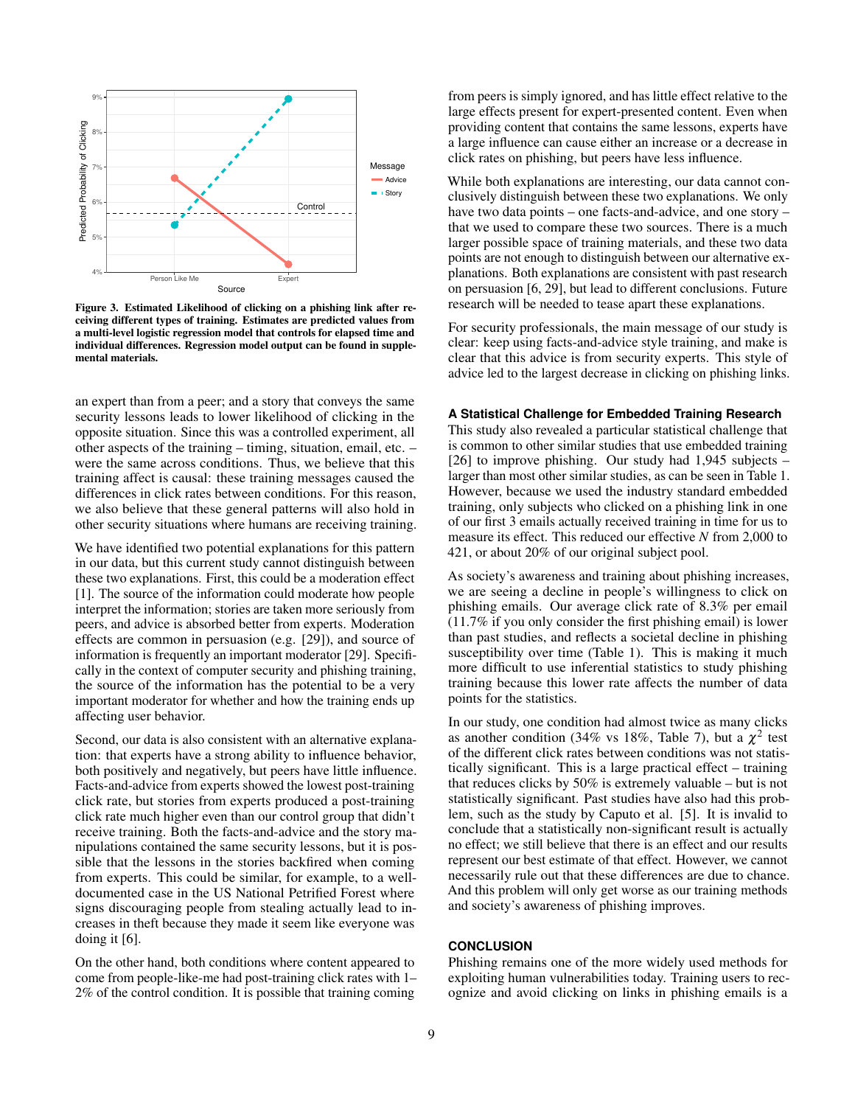

<span id="page-8-0"></span>Figure 3. Estimated Likelihood of clicking on a phishing link after receiving different types of training. Estimates are predicted values from a multi-level logistic regression model that controls for elapsed time and individual differences. Regression model output can be found in supplemental materials.

an expert than from a peer; and a story that conveys the same security lessons leads to lower likelihood of clicking in the opposite situation. Since this was a controlled experiment, all other aspects of the training – timing, situation, email, etc. – were the same across conditions. Thus, we believe that this training affect is causal: these training messages caused the differences in click rates between conditions. For this reason, we also believe that these general patterns will also hold in other security situations where humans are receiving training.

We have identified two potential explanations for this pattern in our data, but this current study cannot distinguish between these two explanations. First, this could be a moderation effect [\[1\]](#page-9-4). The source of the information could moderate how people interpret the information; stories are taken more seriously from peers, and advice is absorbed better from experts. Moderation effects are common in persuasion (e.g. [\[29\]](#page-10-23)), and source of information is frequently an important moderator [\[29\]](#page-10-23). Specifically in the context of computer security and phishing training, the source of the information has the potential to be a very important moderator for whether and how the training ends up affecting user behavior.

Second, our data is also consistent with an alternative explanation: that experts have a strong ability to influence behavior, both positively and negatively, but peers have little influence. Facts-and-advice from experts showed the lowest post-training click rate, but stories from experts produced a post-training click rate much higher even than our control group that didn't receive training. Both the facts-and-advice and the story manipulations contained the same security lessons, but it is possible that the lessons in the stories backfired when coming from experts. This could be similar, for example, to a welldocumented case in the US National Petrified Forest where signs discouraging people from stealing actually lead to increases in theft because they made it seem like everyone was doing it [\[6\]](#page-9-5).

On the other hand, both conditions where content appeared to come from people-like-me had post-training click rates with 1– 2% of the control condition. It is possible that training coming

from peers is simply ignored, and has little effect relative to the large effects present for expert-presented content. Even when providing content that contains the same lessons, experts have a large influence can cause either an increase or a decrease in click rates on phishing, but peers have less influence.

While both explanations are interesting, our data cannot conclusively distinguish between these two explanations. We only have two data points – one facts-and-advice, and one story – that we used to compare these two sources. There is a much larger possible space of training materials, and these two data points are not enough to distinguish between our alternative explanations. Both explanations are consistent with past research on persuasion [\[6,](#page-9-5) [29\]](#page-10-23), but lead to different conclusions. Future research will be needed to tease apart these explanations.

For security professionals, the main message of our study is clear: keep using facts-and-advice style training, and make is clear that this advice is from security experts. This style of advice led to the largest decrease in clicking on phishing links.

# **A Statistical Challenge for Embedded Training Research**

This study also revealed a particular statistical challenge that is common to other similar studies that use embedded training [\[26\]](#page-10-0) to improve phishing. Our study had 1,945 subjects – larger than most other similar studies, as can be seen in Table [1.](#page-2-0) However, because we used the industry standard embedded training, only subjects who clicked on a phishing link in one of our first 3 emails actually received training in time for us to measure its effect. This reduced our effective *N* from 2,000 to 421, or about 20% of our original subject pool.

As society's awareness and training about phishing increases, we are seeing a decline in people's willingness to click on phishing emails. Our average click rate of 8.3% per email (11.7% if you only consider the first phishing email) is lower than past studies, and reflects a societal decline in phishing susceptibility over time (Table [1\)](#page-2-0). This is making it much more difficult to use inferential statistics to study phishing training because this lower rate affects the number of data points for the statistics.

In our study, one condition had almost twice as many clicks as another condition (34% vs 18%, Table [7\)](#page-7-1), but a  $\chi^2$  test of the different click rates between conditions was not statistically significant. This is a large practical effect – training that reduces clicks by 50% is extremely valuable – but is not statistically significant. Past studies have also had this problem, such as the study by Caputo et al. [\[5\]](#page-9-0). It is invalid to conclude that a statistically non-significant result is actually no effect; we still believe that there is an effect and our results represent our best estimate of that effect. However, we cannot necessarily rule out that these differences are due to chance. And this problem will only get worse as our training methods and society's awareness of phishing improves.

## **CONCLUSION**

Phishing remains one of the more widely used methods for exploiting human vulnerabilities today. Training users to recognize and avoid clicking on links in phishing emails is a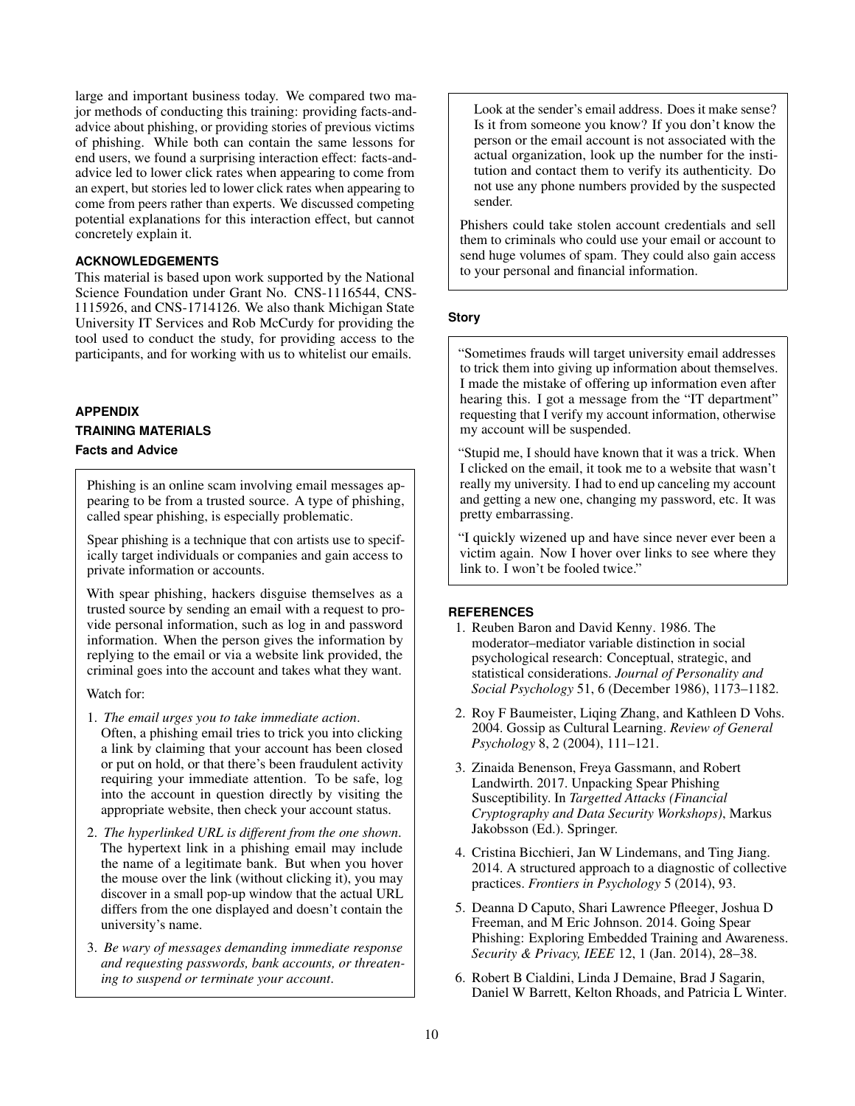large and important business today. We compared two major methods of conducting this training: providing facts-andadvice about phishing, or providing stories of previous victims of phishing. While both can contain the same lessons for end users, we found a surprising interaction effect: facts-andadvice led to lower click rates when appearing to come from an expert, but stories led to lower click rates when appearing to come from peers rather than experts. We discussed competing potential explanations for this interaction effect, but cannot concretely explain it.

# **ACKNOWLEDGEMENTS**

This material is based upon work supported by the National Science Foundation under Grant No. CNS-1116544, CNS-1115926, and CNS-1714126. We also thank Michigan State University IT Services and Rob McCurdy for providing the tool used to conduct the study, for providing access to the participants, and for working with us to whitelist our emails.

# **APPENDIX TRAINING MATERIALS Facts and Advice**

Phishing is an online scam involving email messages appearing to be from a trusted source. A type of phishing, called spear phishing, is especially problematic.

Spear phishing is a technique that con artists use to specifically target individuals or companies and gain access to private information or accounts.

With spear phishing, hackers disguise themselves as a trusted source by sending an email with a request to provide personal information, such as log in and password information. When the person gives the information by replying to the email or via a website link provided, the criminal goes into the account and takes what they want.

Watch for:

- 1. *The email urges you to take immediate action*.
- Often, a phishing email tries to trick you into clicking a link by claiming that your account has been closed or put on hold, or that there's been fraudulent activity requiring your immediate attention. To be safe, log into the account in question directly by visiting the appropriate website, then check your account status.
- 2. *The hyperlinked URL is different from the one shown*. The hypertext link in a phishing email may include the name of a legitimate bank. But when you hover the mouse over the link (without clicking it), you may discover in a small pop-up window that the actual URL differs from the one displayed and doesn't contain the university's name.
- 3. *Be wary of messages demanding immediate response and requesting passwords, bank accounts, or threatening to suspend or terminate your account*.

Look at the sender's email address. Does it make sense? Is it from someone you know? If you don't know the person or the email account is not associated with the actual organization, look up the number for the institution and contact them to verify its authenticity. Do not use any phone numbers provided by the suspected sender.

Phishers could take stolen account credentials and sell them to criminals who could use your email or account to send huge volumes of spam. They could also gain access to your personal and financial information.

# **Story**

"Sometimes frauds will target university email addresses to trick them into giving up information about themselves. I made the mistake of offering up information even after hearing this. I got a message from the "IT department" requesting that I verify my account information, otherwise my account will be suspended.

"Stupid me, I should have known that it was a trick. When I clicked on the email, it took me to a website that wasn't really my university. I had to end up canceling my account and getting a new one, changing my password, etc. It was pretty embarrassing.

"I quickly wizened up and have since never ever been a victim again. Now I hover over links to see where they link to. I won't be fooled twice."

# <span id="page-9-4"></span>**REFERENCES**

- 1. Reuben Baron and David Kenny. 1986. The moderator–mediator variable distinction in social psychological research: Conceptual, strategic, and statistical considerations. *Journal of Personality and Social Psychology* 51, 6 (December 1986), 1173–1182.
- <span id="page-9-2"></span>2. Roy F Baumeister, Liqing Zhang, and Kathleen D Vohs. 2004. Gossip as Cultural Learning. *Review of General Psychology* 8, 2 (2004), 111–121.
- <span id="page-9-1"></span>3. Zinaida Benenson, Freya Gassmann, and Robert Landwirth. 2017. Unpacking Spear Phishing Susceptibility. In *Targetted Attacks (Financial Cryptography and Data Security Workshops)*, Markus Jakobsson (Ed.). Springer.
- <span id="page-9-3"></span>4. Cristina Bicchieri, Jan W Lindemans, and Ting Jiang. 2014. A structured approach to a diagnostic of collective practices. *Frontiers in Psychology* 5 (2014), 93.
- <span id="page-9-0"></span>5. Deanna D Caputo, Shari Lawrence Pfleeger, Joshua D Freeman, and M Eric Johnson. 2014. Going Spear Phishing: Exploring Embedded Training and Awareness. *Security & Privacy, IEEE* 12, 1 (Jan. 2014), 28–38.
- <span id="page-9-5"></span>6. Robert B Cialdini, Linda J Demaine, Brad J Sagarin, Daniel W Barrett, Kelton Rhoads, and Patricia L Winter.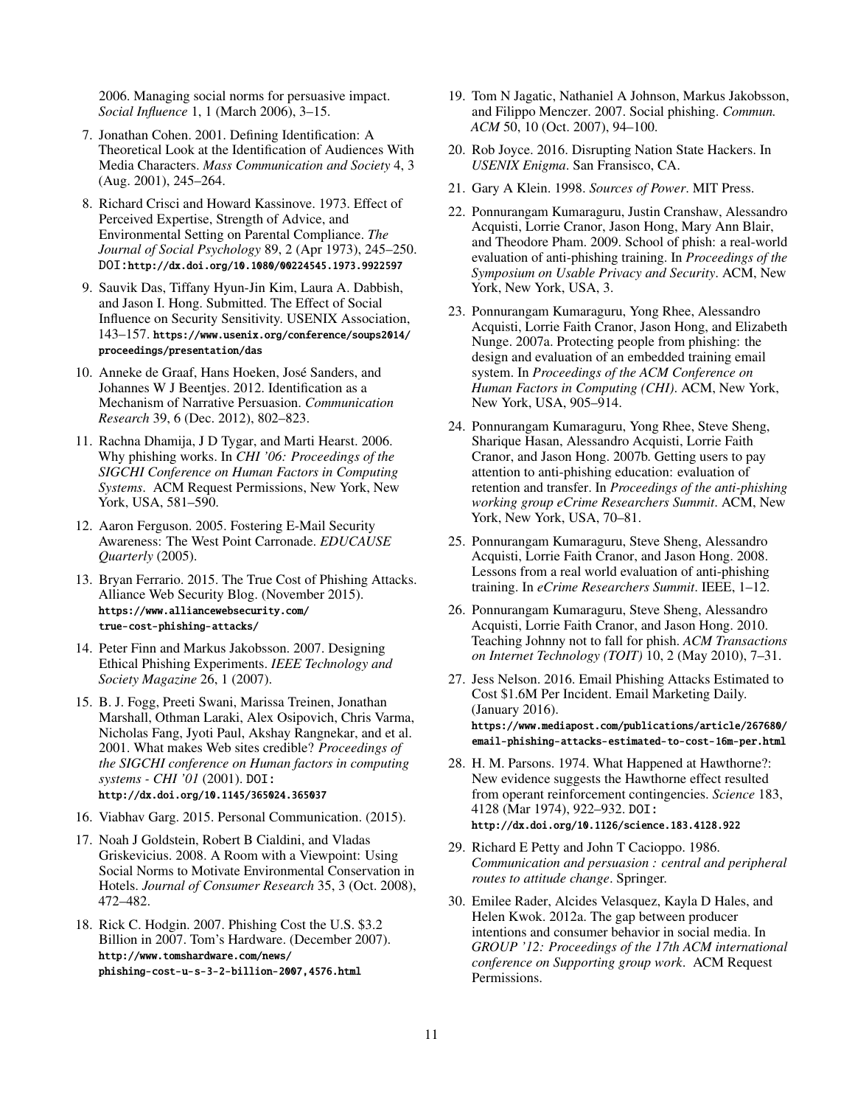2006. Managing social norms for persuasive impact. *Social Influence* 1, 1 (March 2006), 3–15.

- <span id="page-10-18"></span>7. Jonathan Cohen. 2001. Defining Identification: A Theoretical Look at the Identification of Audiences With Media Characters. *Mass Communication and Society* 4, 3 (Aug. 2001), 245–264.
- <span id="page-10-19"></span>8. Richard Crisci and Howard Kassinove. 1973. Effect of Perceived Expertise, Strength of Advice, and Environmental Setting on Parental Compliance. *The Journal of Social Psychology* 89, 2 (Apr 1973), 245–250. DOI:<http://dx.doi.org/10.1080/00224545.1973.9922597>
- <span id="page-10-13"></span>9. Sauvik Das, Tiffany Hyun-Jin Kim, Laura A. Dabbish, and Jason I. Hong. Submitted. The Effect of Social Influence on Security Sensitivity. USENIX Association, 143–157. [https://www.usenix.org/conference/soups2014/](https://www.usenix.org/conference/soups2014/proceedings/presentation/das) [proceedings/presentation/das](https://www.usenix.org/conference/soups2014/proceedings/presentation/das)
- <span id="page-10-17"></span>10. Anneke de Graaf, Hans Hoeken, José Sanders, and Johannes W J Beentjes. 2012. Identification as a Mechanism of Narrative Persuasion. *Communication Research* 39, 6 (Dec. 2012), 802–823.
- <span id="page-10-5"></span>11. Rachna Dhamija, J D Tygar, and Marti Hearst. 2006. Why phishing works. In *CHI '06: Proceedings of the SIGCHI Conference on Human Factors in Computing Systems*. ACM Request Permissions, New York, New York, USA, 581–590.
- <span id="page-10-11"></span>12. Aaron Ferguson. 2005. Fostering E-Mail Security Awareness: The West Point Carronade. *EDUCAUSE Quarterly* (2005).
- <span id="page-10-2"></span>13. Bryan Ferrario. 2015. The True Cost of Phishing Attacks. Alliance Web Security Blog. (November 2015). [https://www.alliancewebsecurity.com/](https://www.alliancewebsecurity.com/true-cost-phishing-attacks/) [true-cost-phishing-attacks/](https://www.alliancewebsecurity.com/true-cost-phishing-attacks/)
- <span id="page-10-21"></span>14. Peter Finn and Markus Jakobsson. 2007. Designing Ethical Phishing Experiments. *IEEE Technology and Society Magazine* 26, 1 (2007).
- <span id="page-10-20"></span>15. B. J. Fogg, Preeti Swani, Marissa Treinen, Jonathan Marshall, Othman Laraki, Alex Osipovich, Chris Varma, Nicholas Fang, Jyoti Paul, Akshay Rangnekar, and et al. 2001. What makes Web sites credible? *Proceedings of the SIGCHI conference on Human factors in computing systems - CHI '01* (2001). DOI: <http://dx.doi.org/10.1145/365024.365037>
- <span id="page-10-12"></span>16. Viabhav Garg. 2015. Personal Communication. (2015).
- <span id="page-10-16"></span>17. Noah J Goldstein, Robert B Cialdini, and Vladas Griskevicius. 2008. A Room with a Viewpoint: Using Social Norms to Motivate Environmental Conservation in Hotels. *Journal of Consumer Research* 35, 3 (Oct. 2008), 472–482.
- <span id="page-10-1"></span>18. Rick C. Hodgin. 2007. Phishing Cost the U.S. \$3.2 Billion in 2007. Tom's Hardware. (December 2007). [http://www.tomshardware.com/news/](http://www.tomshardware.com/news/phishing-cost-u-s-3-2-billion-2007,4576.html) [phishing-cost-u-s-3-2-billion-2007,4576.html](http://www.tomshardware.com/news/phishing-cost-u-s-3-2-billion-2007,4576.html)
- <span id="page-10-6"></span>19. Tom N Jagatic, Nathaniel A Johnson, Markus Jakobsson, and Filippo Menczer. 2007. Social phishing. *Commun. ACM* 50, 10 (Oct. 2007), 94–100.
- <span id="page-10-4"></span>20. Rob Joyce. 2016. Disrupting Nation State Hackers. In *USENIX Enigma*. San Fransisco, CA.
- <span id="page-10-14"></span>21. Gary A Klein. 1998. *Sources of Power*. MIT Press.
- <span id="page-10-10"></span>22. Ponnurangam Kumaraguru, Justin Cranshaw, Alessandro Acquisti, Lorrie Cranor, Jason Hong, Mary Ann Blair, and Theodore Pham. 2009. School of phish: a real-world evaluation of anti-phishing training. In *Proceedings of the Symposium on Usable Privacy and Security*. ACM, New York, New York, USA, 3.
- <span id="page-10-7"></span>23. Ponnurangam Kumaraguru, Yong Rhee, Alessandro Acquisti, Lorrie Faith Cranor, Jason Hong, and Elizabeth Nunge. 2007a. Protecting people from phishing: the design and evaluation of an embedded training email system. In *Proceedings of the ACM Conference on Human Factors in Computing (CHI)*. ACM, New York, New York, USA, 905–914.
- <span id="page-10-8"></span>24. Ponnurangam Kumaraguru, Yong Rhee, Steve Sheng, Sharique Hasan, Alessandro Acquisti, Lorrie Faith Cranor, and Jason Hong. 2007b. Getting users to pay attention to anti-phishing education: evaluation of retention and transfer. In *Proceedings of the anti-phishing working group eCrime Researchers Summit*. ACM, New York, New York, USA, 70–81.
- <span id="page-10-9"></span>25. Ponnurangam Kumaraguru, Steve Sheng, Alessandro Acquisti, Lorrie Faith Cranor, and Jason Hong. 2008. Lessons from a real world evaluation of anti-phishing training. In *eCrime Researchers Summit*. IEEE, 1–12.
- <span id="page-10-0"></span>26. Ponnurangam Kumaraguru, Steve Sheng, Alessandro Acquisti, Lorrie Faith Cranor, and Jason Hong. 2010. Teaching Johnny not to fall for phish. *ACM Transactions on Internet Technology (TOIT)* 10, 2 (May 2010), 7–31.
- <span id="page-10-3"></span>27. Jess Nelson. 2016. Email Phishing Attacks Estimated to Cost \$1.6M Per Incident. Email Marketing Daily. (January 2016). [https://www.mediapost.com/publications/article/267680/](https://www.mediapost.com/publications/article/267680/email-phishing-attacks-estimated-to-cost-16m-per.html) [email-phishing-attacks-estimated-to-cost-16m-per.html](https://www.mediapost.com/publications/article/267680/email-phishing-attacks-estimated-to-cost-16m-per.html)
- <span id="page-10-22"></span>28. H. M. Parsons. 1974. What Happened at Hawthorne?: New evidence suggests the Hawthorne effect resulted from operant reinforcement contingencies. *Science* 183, 4128 (Mar 1974), 922–932. DOI: <http://dx.doi.org/10.1126/science.183.4128.922>
- <span id="page-10-23"></span>29. Richard E Petty and John T Cacioppo. 1986. *Communication and persuasion : central and peripheral routes to attitude change*. Springer.
- <span id="page-10-15"></span>30. Emilee Rader, Alcides Velasquez, Kayla D Hales, and Helen Kwok. 2012a. The gap between producer intentions and consumer behavior in social media. In *GROUP '12: Proceedings of the 17th ACM international conference on Supporting group work*. ACM Request Permissions.